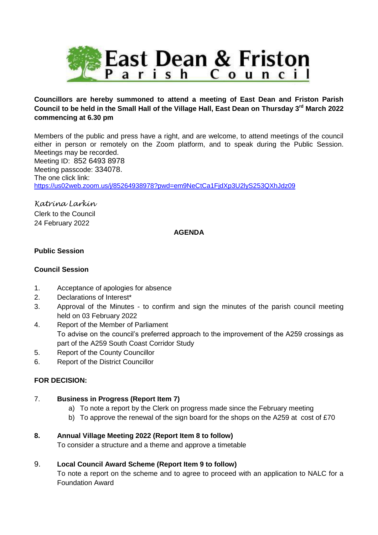

# **Councillors are hereby summoned to attend a meeting of East Dean and Friston Parish Council to be held in the Small Hall of the Village Hall, East Dean on Thursday 3rd March 2022 commencing at 6.30 pm**

Members of the public and press have a right, and are welcome, to attend meetings of the council either in person or remotely on the Zoom platform, and to speak during the Public Session. Meetings may be recorded. Meeting ID: 852 6493 8978 Meeting passcode: 334078. The one click link: <https://us02web.zoom.us/j/85264938978?pwd=em9NeCtCa1FjdXp3U2lyS253QXhJdz09>

*Katrina Larkin* Clerk to the Council 24 February 2022

#### **AGENDA**

### **Public Session**

#### **Council Session**

- 1. Acceptance of apologies for absence
- 2. Declarations of Interest\*
- 3. Approval of the Minutes to confirm and sign the minutes of the parish council meeting held on 03 February 2022
- 4. Report of the Member of Parliament To advise on the council's preferred approach to the improvement of the A259 crossings as part of the A259 South Coast Corridor Study
- 5. Report of the County Councillor
- 6. Report of the District Councillor

#### **FOR DECISION:**

- 7. **Business in Progress (Report Item 7)**
	- a) To note a report by the Clerk on progress made since the February meeting
	- b) To approve the renewal of the sign board for the shops on the A259 at cost of  $£70$

#### **8. Annual Village Meeting 2022 (Report Item 8 to follow)**

To consider a structure and a theme and approve a timetable

#### 9. **Local Council Award Scheme (Report Item 9 to follow)**

To note a report on the scheme and to agree to proceed with an application to NALC for a Foundation Award